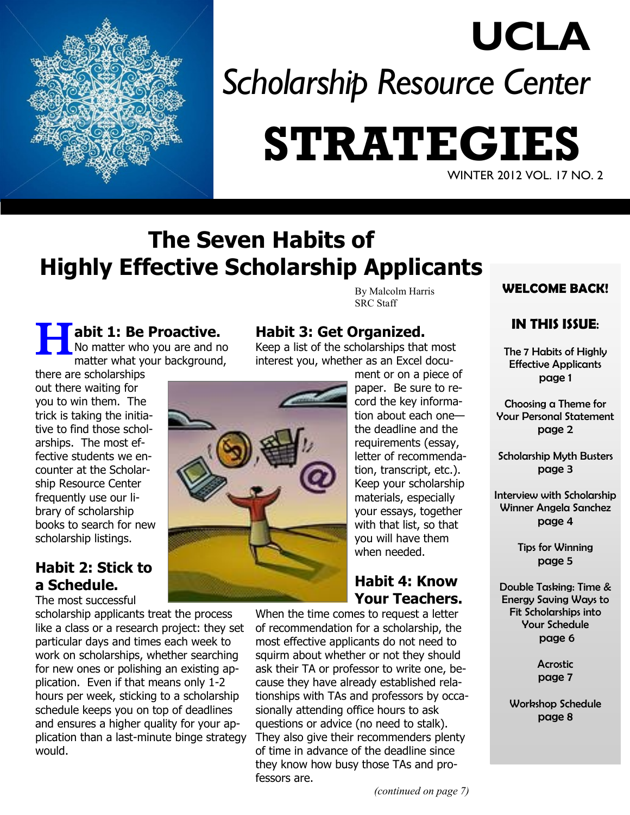

# **UCLA** *Scholarship Resource Center* **STRATEGIES**

#### WINTER 2012 VOL. 17 NO. 2

# **The Seven Habits of Highly Effective Scholarship Applicants**

**Abit 1: Be Proactive.**<br>No matter who you are and no<br>matter what your background No matter who you are and no matter what your background,

there are scholarships out there waiting for you to win them. The trick is taking the initiative to find those scholarships. The most effective students we encounter at the Scholarship Resource Center frequently use our library of scholarship books to search for new scholarship listings.

# **Habit 2: Stick to a Schedule.**

The most successful

scholarship applicants treat the process like a class or a research project: they set particular days and times each week to work on scholarships, whether searching for new ones or polishing an existing application. Even if that means only 1-2 hours per week, sticking to a scholarship schedule keeps you on top of deadlines and ensures a higher quality for your application than a last-minute binge strategy would.

By Malcolm Harris SRC Staff

# **Habit 3: Get Organized.**

Keep a list of the scholarships that most interest you, whether as an Excel docu-



ment or on a piece of paper. Be sure to record the key information about each one the deadline and the requirements (essay, letter of recommendation, transcript, etc.). Keep your scholarship materials, especially your essays, together with that list, so that you will have them when needed.

# **Habit 4: Know Your Teachers.**

When the time comes to request a letter of recommendation for a scholarship, the most effective applicants do not need to squirm about whether or not they should ask their TA or professor to write one, because they have already established relationships with TAs and professors by occasionally attending office hours to ask questions or advice (no need to stalk). They also give their recommenders plenty of time in advance of the deadline since they know how busy those TAs and professors are.

### **WELCOME BACK!**

### **IN THIS ISSUE**:

The 7 Habits of Highly Effective Applicants page 1

Choosing a Theme for Your Personal Statement page 2

Scholarship Myth Busters page 3

Interview with Scholarship Winner Angela Sanchez page 4

> Tips for Winning page 5

Double Tasking: Time & Energy Saving Ways to Fit Scholarships into Your Schedule page 6

> Acrostic page 7

Workshop Schedule page 8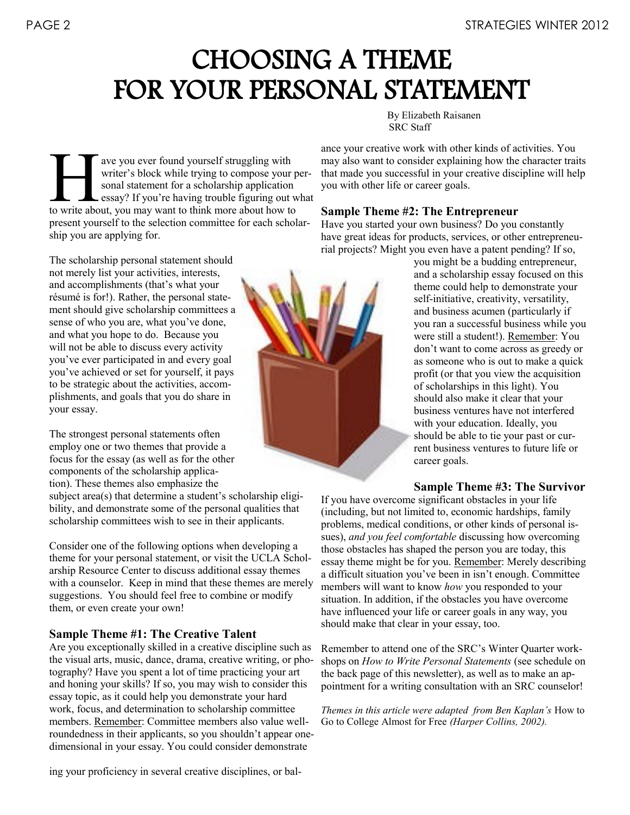# CHOOSING A THEME FOR YOUR PERSONAL STATEMENT

By Elizabeth Raisanen SRC Staff

ave you ever found yourself struggling with<br>writer's block while trying to compose your p<br>sonal statement for a scholarship application<br>essay? If you're having trouble figuring out w<br>to write about, you may want to think m ave you ever found yourself struggling with writer's block while trying to compose your personal statement for a scholarship application essay? If you"re having trouble figuring out what present yourself to the selection committee for each scholarship you are applying for. you with other life or career goals.

The scholarship personal statement should not merely list your activities, interests, and accomplishments (that's what your résumé is for!). Rather, the personal statement should give scholarship committees a sense of who you are, what you"ve done, and what you hope to do. Because you will not be able to discuss every activity you"ve ever participated in and every goal you"ve achieved or set for yourself, it pays to be strategic about the activities, accomplishments, and goals that you do share in your essay.

The strongest personal statements often employ one or two themes that provide a focus for the essay (as well as for the other components of the scholarship application). These themes also emphasize the

subject area(s) that determine a student's scholarship eligibility, and demonstrate some of the personal qualities that scholarship committees wish to see in their applicants.

Consider one of the following options when developing a theme for your personal statement, or visit the UCLA Scholarship Resource Center to discuss additional essay themes with a counselor. Keep in mind that these themes are merely suggestions. You should feel free to combine or modify them, or even create your own!

#### **Sample Theme #1: The Creative Talent**

Are you exceptionally skilled in a creative discipline such as the visual arts, music, dance, drama, creative writing, or photography? Have you spent a lot of time practicing your art and honing your skills? If so, you may wish to consider this essay topic, as it could help you demonstrate your hard work, focus, and determination to scholarship committee members. Remember: Committee members also value wellroundedness in their applicants, so you shouldn't appear onedimensional in your essay. You could consider demonstrate

ance your creative work with other kinds of activities. You may also want to consider explaining how the character traits that made you successful in your creative discipline will help

#### **Sample Theme #2: The Entrepreneur**

Have you started your own business? Do you constantly have great ideas for products, services, or other entrepreneurial projects? Might you even have a patent pending? If so,

> you might be a budding entrepreneur, and a scholarship essay focused on this theme could help to demonstrate your self-initiative, creativity, versatility, and business acumen (particularly if you ran a successful business while you were still a student!). Remember: You don"t want to come across as greedy or as someone who is out to make a quick profit (or that you view the acquisition of scholarships in this light). You should also make it clear that your business ventures have not interfered with your education. Ideally, you should be able to tie your past or current business ventures to future life or career goals.

#### **Sample Theme #3: The Survivor**

If you have overcome significant obstacles in your life (including, but not limited to, economic hardships, family problems, medical conditions, or other kinds of personal issues), *and you feel comfortable* discussing how overcoming those obstacles has shaped the person you are today, this essay theme might be for you. Remember: Merely describing a difficult situation you"ve been in isn"t enough. Committee members will want to know *how* you responded to your situation. In addition, if the obstacles you have overcome have influenced your life or career goals in any way, you should make that clear in your essay, too.

Remember to attend one of the SRC"s Winter Quarter workshops on *How to Write Personal Statements* (see schedule on the back page of this newsletter), as well as to make an appointment for a writing consultation with an SRC counselor!

*Themes in this article were adapted from Ben Kaplan's* How to Go to College Almost for Free *(Harper Collins, 2002).*



ing your proficiency in several creative disciplines, or bal-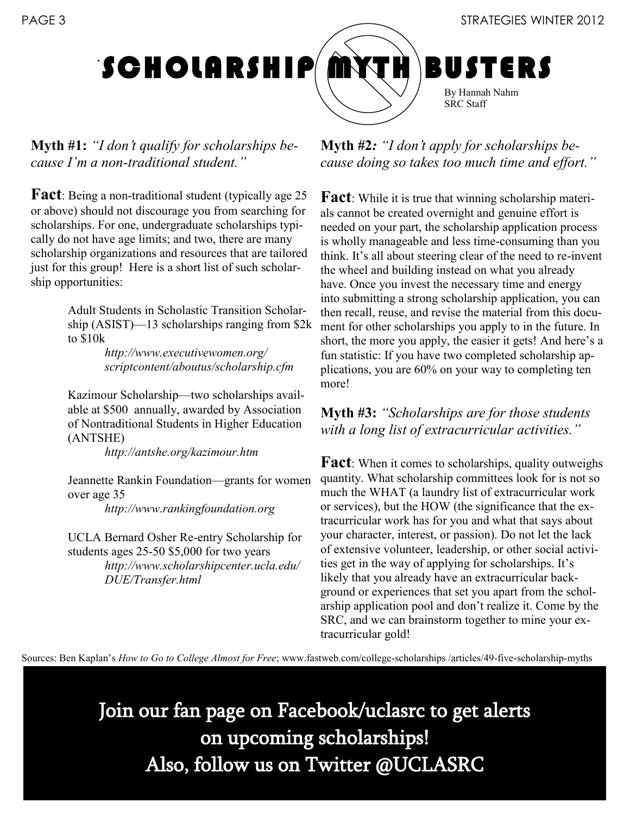

**Myth #1:** *"I don't qualify for scholarships because I'm a non-traditional student."*

**Fact**: Being a non-traditional student (typically age 25 or above) should not discourage you from searching for scholarships. For one, undergraduate scholarships typically do not have age limits; and two, there are many scholarship organizations and resources that are tailored just for this group! Here is a short list of such scholarship opportunities:

> Adult Students in Scholastic Transition Scholarship (ASIST)—13 scholarships ranging from \$2k to \$10k

> > *http://www.executivewomen.org/ scriptcontent/aboutus/scholarship.cfm*

Kazimour Scholarship—two scholarships available at \$500 annually, awarded by Association of Nontraditional Students in Higher Education (ANTSHE)

*http://antshe.org/kazimour.htm*

Jeannette Rankin Foundation—grants for women over age 35

*http://www.rankingfoundation.org*

UCLA Bernard Osher Re-entry Scholarship for students ages 25-50 \$5,000 for two years *http://www.scholarshipcenter.ucla.edu/ DUE/Transfer.html*

**Myth #2***: "I don't apply for scholarships because doing so takes too much time and effort."*

**Fact**: While it is true that winning scholarship materials cannot be created overnight and genuine effort is needed on your part, the scholarship application process is wholly manageable and less time-consuming than you think. It's all about steering clear of the need to re-invent the wheel and building instead on what you already have. Once you invest the necessary time and energy into submitting a strong scholarship application, you can then recall, reuse, and revise the material from this document for other scholarships you apply to in the future. In short, the more you apply, the easier it gets! And here's a fun statistic: If you have two completed scholarship applications, you are 60% on your way to completing ten more!

**Myth #3:** *"Scholarships are for those students with a long list of extracurricular activities."*

**Fact**: When it comes to scholarships, quality outweighs quantity. What scholarship committees look for is not so much the WHAT (a laundry list of extracurricular work or services), but the HOW (the significance that the extracurricular work has for you and what that says about your character, interest, or passion). Do not let the lack of extensive volunteer, leadership, or other social activities get in the way of applying for scholarships. It's likely that you already have an extracurricular background or experiences that set you apart from the scholarship application pool and don"t realize it. Come by the SRC, and we can brainstorm together to mine your extracurricular gold!

Sources: Ben Kaplan"s *How to Go to College Almost for Free*; www.fastweb.com/college-scholarships /articles/49-five-scholarship-myths

Join our fan page on Facebook/uclasrc to get alerts on upcoming scholarships! Also, follow us on Twitter @UCLASRC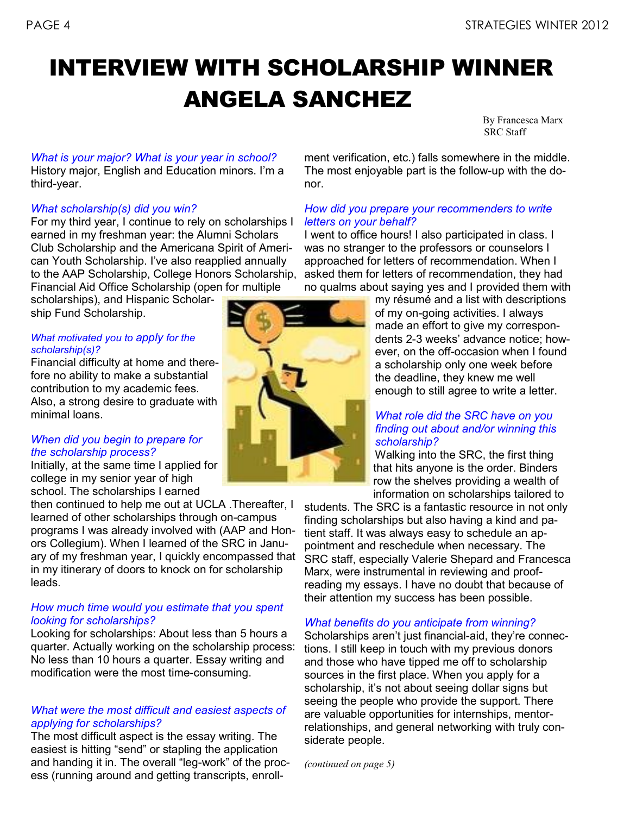# INTERVIEW WITH SCHOLARSHIP WINNER ANGELA SANCHEZ

By Francesca Marx SRC Staff

*What is your major? What is your year in school?* History major, English and Education minors. I'm a third-year.

#### *What scholarship(s) did you win?*

For my third year, I continue to rely on scholarships I earned in my freshman year: the Alumni Scholars Club Scholarship and the Americana Spirit of American Youth Scholarship. I've also reapplied annually to the AAP Scholarship, College Honors Scholarship, Financial Aid Office Scholarship (open for multiple

scholarships), and Hispanic Scholarship Fund Scholarship.

#### *What motivated you to apply for the scholarship(s)?*

Financial difficulty at home and therefore no ability to make a substantial contribution to my academic fees. Also, a strong desire to graduate with minimal loans.

#### *When did you begin to prepare for the scholarship process?*

Initially, at the same time I applied for college in my senior year of high school. The scholarships I earned

then continued to help me out at UCLA .Thereafter, I learned of other scholarships through on-campus programs I was already involved with (AAP and Honors Collegium). When I learned of the SRC in January of my freshman year, I quickly encompassed that in my itinerary of doors to knock on for scholarship leads.

#### *How much time would you estimate that you spent looking for scholarships?*

Looking for scholarships: About less than 5 hours a quarter. Actually working on the scholarship process: No less than 10 hours a quarter. Essay writing and modification were the most time-consuming.

#### *What were the most difficult and easiest aspects of applying for scholarships?*

The most difficult aspect is the essay writing. The easiest is hitting "send" or stapling the application and handing it in. The overall "leg-work" of the process (running around and getting transcripts, enroll-



ment verification, etc.) falls somewhere in the middle. The most enjoyable part is the follow-up with the donor.

#### *How did you prepare your recommenders to write letters on your behalf?*

I went to office hours! I also participated in class. I was no stranger to the professors or counselors I approached for letters of recommendation. When I asked them for letters of recommendation, they had no qualms about saying yes and I provided them with

> my résumé and a list with descriptions of my on-going activities. I always made an effort to give my correspondents 2-3 weeks' advance notice; however, on the off-occasion when I found a scholarship only one week before the deadline, they knew me well enough to still agree to write a letter.

#### *What role did the SRC have on you finding out about and/or winning this scholarship?*

Walking into the SRC, the first thing that hits anyone is the order. Binders row the shelves providing a wealth of information on scholarships tailored to

students. The SRC is a fantastic resource in not only finding scholarships but also having a kind and patient staff. It was always easy to schedule an appointment and reschedule when necessary. The SRC staff, especially Valerie Shepard and Francesca Marx, were instrumental in reviewing and proofreading my essays. I have no doubt that because of their attention my success has been possible.

#### *What benefits do you anticipate from winning?*

Scholarships aren't just financial-aid, they're connections. I still keep in touch with my previous donors and those who have tipped me off to scholarship sources in the first place. When you apply for a scholarship, it's not about seeing dollar signs but seeing the people who provide the support. There are valuable opportunities for internships, mentorrelationships, and general networking with truly considerate people.

*(continued on page 5)*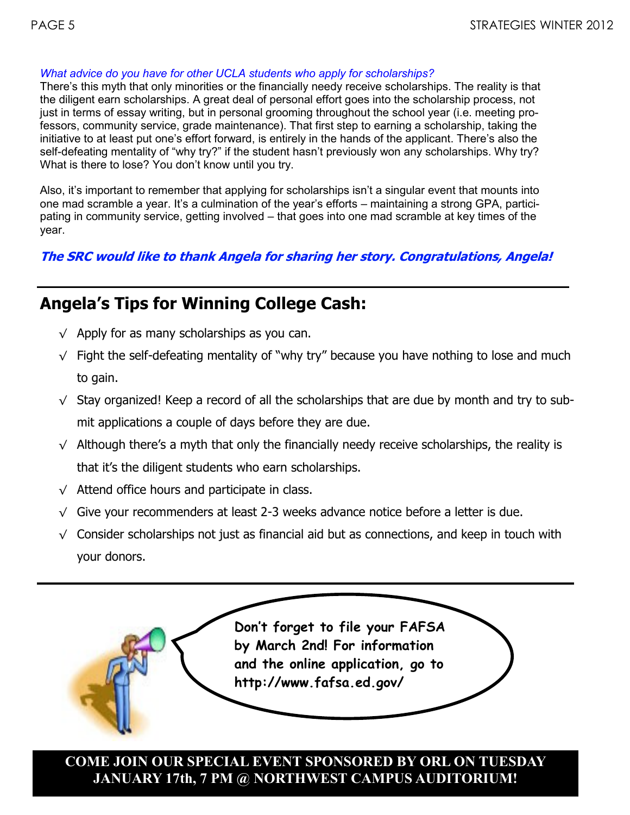#### *What advice do you have for other UCLA students who apply for scholarships?*

There's this myth that only minorities or the financially needy receive scholarships. The reality is that the diligent earn scholarships. A great deal of personal effort goes into the scholarship process, not just in terms of essay writing, but in personal grooming throughout the school year (i.e. meeting professors, community service, grade maintenance). That first step to earning a scholarship, taking the initiative to at least put one's effort forward, is entirely in the hands of the applicant. There's also the self-defeating mentality of "why try?" if the student hasn't previously won any scholarships. Why try? What is there to lose? You don't know until you try.

Also, it's important to remember that applying for scholarships isn't a singular event that mounts into one mad scramble a year. It's a culmination of the year's efforts – maintaining a strong GPA, participating in community service, getting involved – that goes into one mad scramble at key times of the year.

**The SRC would like to thank Angela for sharing her story. Congratulations, Angela!** 

# **Angela's Tips for Winning College Cash:**

- $\sqrt{ }$  Apply for as many scholarships as you can.
- $\sqrt{\phantom{a}}$  Fight the self-defeating mentality of "why try" because you have nothing to lose and much to gain.
- $\sqrt{ }$  Stay organized! Keep a record of all the scholarships that are due by month and try to submit applications a couple of days before they are due.
- $\sqrt{\phantom{a}}$  Although there's a myth that only the financially needy receive scholarships, the reality is that it's the diligent students who earn scholarships.
- √ Attend office hours and participate in class.
- √ Give your recommenders at least 2-3 weeks advance notice before a letter is due.
- $\sqrt{\ }$  Consider scholarships not just as financial aid but as connections, and keep in touch with your donors.



### **COME JOIN OUR SPECIAL EVENT SPONSORED BY ORL ON TUESDAY JANUARY 17th, 7 PM @ NORTHWEST CAMPUS AUDITORIUM!**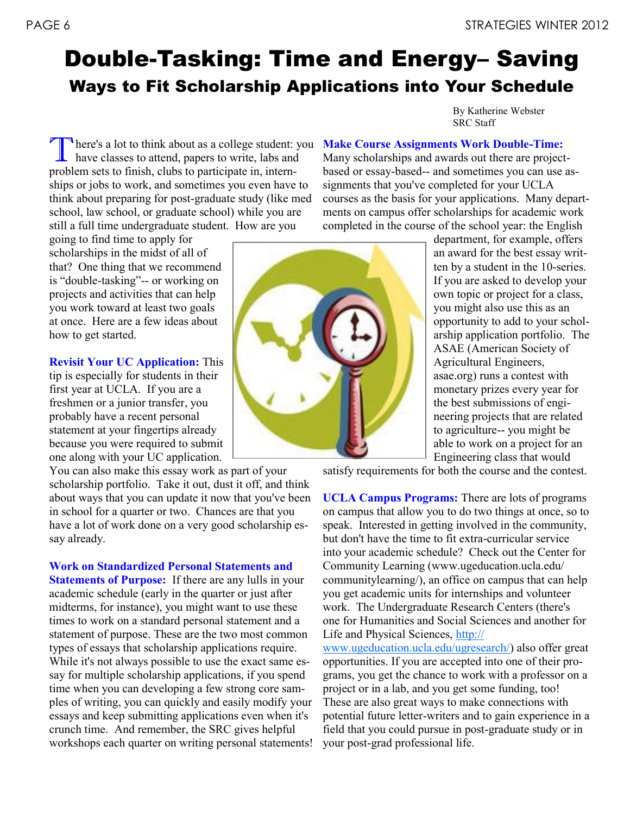# Double-Tasking: Time and Energy– Saving Ways to Fit Scholarship Applications into Your Schedule

By Katherine Webster SRC Staff

There's a lot to think about as a college student: y have classes to attend, papers to write, labs and here's a lot to think about as a college student: you problem sets to finish, clubs to participate in, internships or jobs to work, and sometimes you even have to think about preparing for post-graduate study (like med school, law school, or graduate school) while you are still a full time undergraduate student. How are you

going to find time to apply for scholarships in the midst of all of that? One thing that we recommend is "double-tasking"-- or working on projects and activities that can help you work toward at least two goals at once. Here are a few ideas about how to get started.

**Revisit Your UC Application:** This tip is especially for students in their first year at UCLA. If you are a freshmen or a junior transfer, you probably have a recent personal statement at your fingertips already because you were required to submit one along with your UC application.

You can also make this essay work as part of your scholarship portfolio. Take it out, dust it off, and think about ways that you can update it now that you've been in school for a quarter or two. Chances are that you have a lot of work done on a very good scholarship essay already.

**Work on Standardized Personal Statements and Statements of Purpose:** If there are any lulls in your academic schedule (early in the quarter or just after midterms, for instance), you might want to use these times to work on a standard personal statement and a statement of purpose. These are the two most common types of essays that scholarship applications require. While it's not always possible to use the exact same essay for multiple scholarship applications, if you spend time when you can developing a few strong core samples of writing, you can quickly and easily modify your essays and keep submitting applications even when it's crunch time. And remember, the SRC gives helpful workshops each quarter on writing personal statements!



**Make Course Assignments Work Double-Time:** 

Many scholarships and awards out there are projectbased or essay-based-- and sometimes you can use assignments that you've completed for your UCLA courses as the basis for your applications. Many departments on campus offer scholarships for academic work completed in the course of the school year: the English

> department, for example, offers an award for the best essay written by a student in the 10-series. If you are asked to develop your own topic or project for a class, you might also use this as an opportunity to add to your scholarship application portfolio. The ASAE (American Society of Agricultural Engineers, asae.org) runs a contest with monetary prizes every year for the best submissions of engineering projects that are related to agriculture-- you might be able to work on a project for an Engineering class that would

satisfy requirements for both the course and the contest.

**UCLA Campus Programs:** There are lots of programs on campus that allow you to do two things at once, so to speak. Interested in getting involved in the community, but don't have the time to fit extra-curricular service into your academic schedule? Check out the Center for Community Learning (www.ugeducation.ucla.edu/ communitylearning/), an office on campus that can help you get academic units for internships and volunteer work. The Undergraduate Research Centers (there's one for Humanities and Social Sciences and another for Life and Physical Sciences, [http://](http://www.ugeducation.ucla.edu/ugresearch/) [www.ugeducation.ucla.edu/ugresearch/\)](http://www.ugeducation.ucla.edu/ugresearch/) also offer great

opportunities. If you are accepted into one of their programs, you get the chance to work with a professor on a project or in a lab, and you get some funding, too! These are also great ways to make connections with potential future letter-writers and to gain experience in a field that you could pursue in post-graduate study or in your post-grad professional life.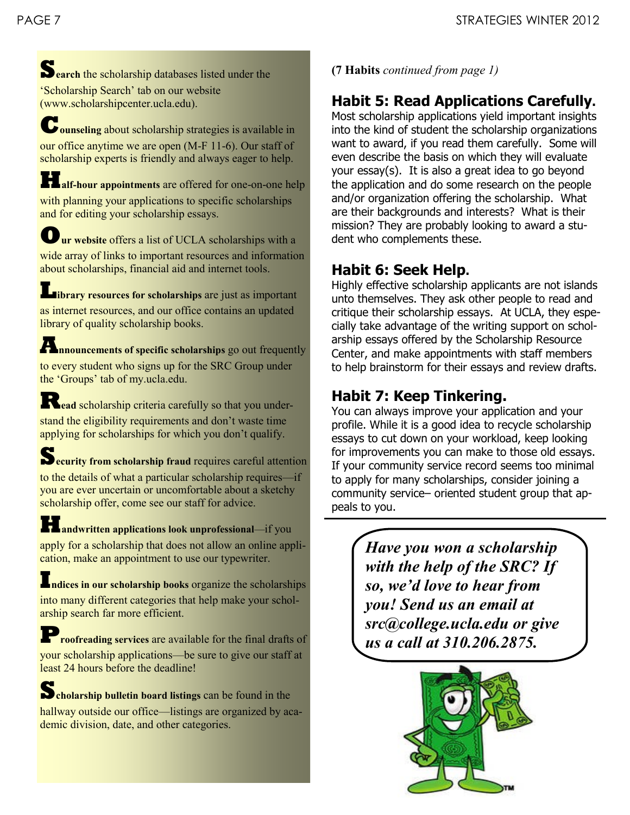**Search** the scholarship databases listed under the "Scholarship Search" tab on our website (www.scholarshipcenter.ucla.edu).

**Counseling** about scholarship strategies is available in our office anytime we are open (M-F 11-6). Our staff of scholarship experts is friendly and always eager to help.

alf-hour appointments are offered for one-on-one help with planning your applications to specific scholarships and for editing your scholarship essays.

**Our website** offers a list of UCLA scholarships with a wide array of links to important resources and information about scholarships, financial aid and internet tools.

**Library resources for scholarships** are just as important as internet resources, and our office contains an updated library of quality scholarship books.

**Announcements of specific scholarships** go out frequently to every student who signs up for the SRC Group under the 'Groups' tab of my.ucla.edu.

**Read** scholarship criteria carefully so that you understand the eligibility requirements and don't waste time applying for scholarships for which you don't qualify.

S**ecurity from scholarship fraud requires careful attention** to the details of what a particular scholarship requires—if you are ever uncertain or uncomfortable about a sketchy scholarship offer, come see our staff for advice.

**Handwritten applications look unprofessional—if you** apply for a scholarship that does not allow an online application, make an appointment to use our typewriter.

**Indices in our scholarship books** organize the scholarships into many different categories that help make your scholarship search far more efficient.

**Proofreading services** are available for the final drafts of your scholarship applications—be sure to give our staff at least 24 hours before the deadline!

**Scholarship bulletin board listings** can be found in the hallway outside our office—listings are organized by academic division, date, and other categories.

**(7 Habits** *continued from page 1)*

# **Habit 5: Read Applications Carefully.**

Most scholarship applications yield important insights into the kind of student the scholarship organizations want to award, if you read them carefully. Some will even describe the basis on which they will evaluate your essay(s). It is also a great idea to go beyond the application and do some research on the people and/or organization offering the scholarship. What are their backgrounds and interests? What is their mission? They are probably looking to award a student who complements these.

# **Habit 6: Seek Help.**

Highly effective scholarship applicants are not islands unto themselves. They ask other people to read and critique their scholarship essays. At UCLA, they especially take advantage of the writing support on scholarship essays offered by the Scholarship Resource Center, and make appointments with staff members to help brainstorm for their essays and review drafts.

# **Habit 7: Keep Tinkering.**

You can always improve your application and your profile. While it is a good idea to recycle scholarship essays to cut down on your workload, keep looking for improvements you can make to those old essays. If your community service record seems too minimal to apply for many scholarships, consider joining a community service– oriented student group that appeals to you.

> *Have you won a scholarship with the help of the SRC? If so, we'd love to hear from you! Send us an email at src@college.ucla.edu or give us a call at 310.206.2875.*